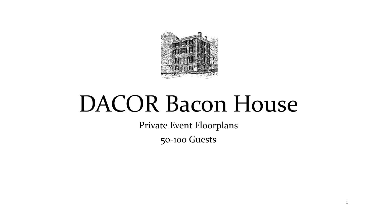

# DACOR Bacon House

Private Event Floorplans

50-100 Guests

1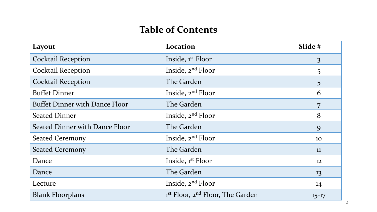# **Table of Contents**

| Layout                                | Location                                                 | Slide #        |
|---------------------------------------|----------------------------------------------------------|----------------|
| <b>Cocktail Reception</b>             | Inside, 1 <sup>st</sup> Floor                            | $\overline{3}$ |
| <b>Cocktail Reception</b>             | Inside, 2 <sup>nd</sup> Floor                            | 5              |
| <b>Cocktail Reception</b>             | The Garden                                               | 5              |
| <b>Buffet Dinner</b>                  | Inside, 2 <sup>nd</sup> Floor                            | 6              |
| <b>Buffet Dinner with Dance Floor</b> | The Garden                                               | 7              |
| <b>Seated Dinner</b>                  | Inside, 2 <sup>nd</sup> Floor                            | 8              |
| <b>Seated Dinner with Dance Floor</b> | The Garden                                               | 9              |
| <b>Seated Ceremony</b>                | Inside, $2^{nd}$ Floor                                   | 10             |
| <b>Seated Ceremony</b>                | The Garden                                               | 11             |
| Dance                                 | Inside, 1st Floor                                        | 12             |
| Dance                                 | The Garden                                               | 13             |
| Lecture                               | Inside, $2^{nd}$ Floor                                   | 14             |
| <b>Blank Floorplans</b>               | 1 <sup>st</sup> Floor, 2 <sup>nd</sup> Floor, The Garden | $15 - 17$      |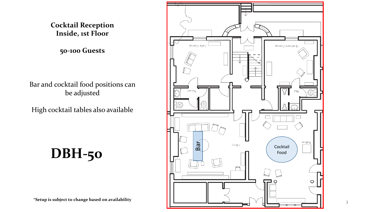#### **Cocktail Reception Inside, 1st Floor**

**50-100 Guests**

Bar and cocktail food positions can be adjusted

High cocktail tables also available

**DBH-50**

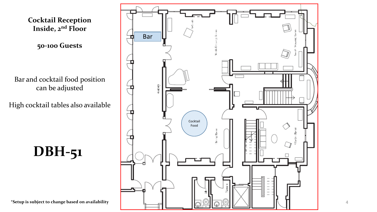

4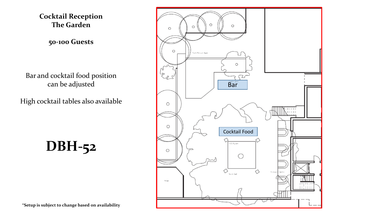**Cocktail Reception The Garden**

**50-100 Guests**

Bar and cocktail food position can be adjusted

High cocktail tables also available

**DBH-52**



**\*Setup is subject to change based on availability**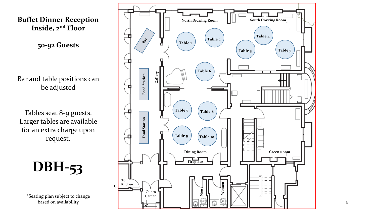**Buffet Dinner Reception Inside, 2nd Floor**

**50 -92 Guests**

Bar and table positions can be adjusted

Tables seat 8 -9 guests. Larger tables are available for an extra charge upon request.

**DBH -53**

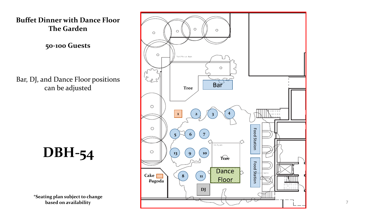

**50 -100 Guests**

Bar, DJ, and Dance Floor positions can be adjusted

**DBH -54**

**\*Seating plan subject to change based on availability** 



7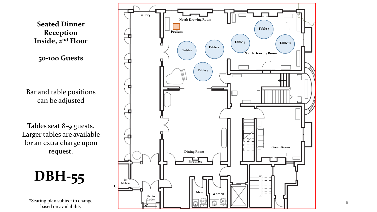

**Seated Dinner Reception Inside, 2nd Floor**

**50-100 Guests**

Bar and table positions can be adjusted

Tables seat 8-9 guests. Larger tables are available for an extra charge upon request.

**DBH-55**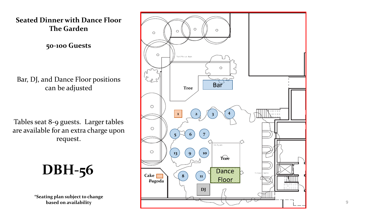

Tables seat 8-9 guests. Larger tables are available for an extra charge upon request.

**DBH-56**

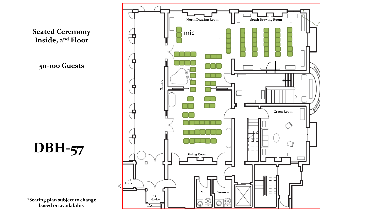

**Inside, 2nd Floor**

**50-100 Guests**

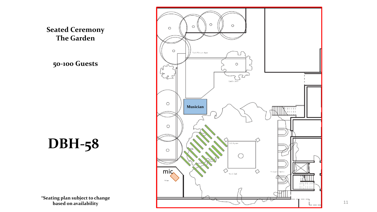**Seated Ceremony The Garden**

**50-100 Guests**

**DBH-58**

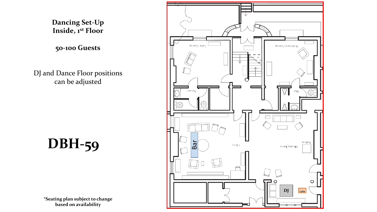**Dancing Set-Up Inside, 1st Floor**

**50-100 Guests**

DJ and Dance Floor positions can be adjusted

**DBH-59**

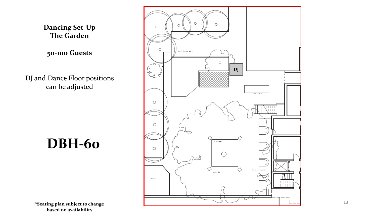**Dancing Set-Up The Garden**

**50-100 Guests**

DJ and Dance Floor positions can be adjusted

**DBH-60**

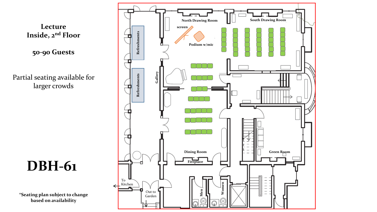

**Lecture Inside, 2nd Floor**

**50-90 Guests**

Partial seating available for larger crowds

**DBH-61**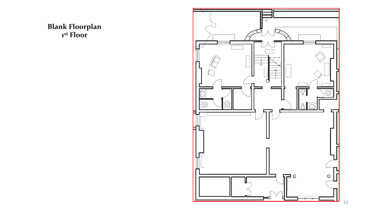## **Blank Floorplan st Floor**

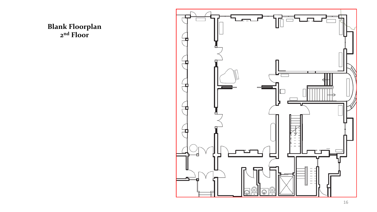**Blank Floorplan nd Floor**